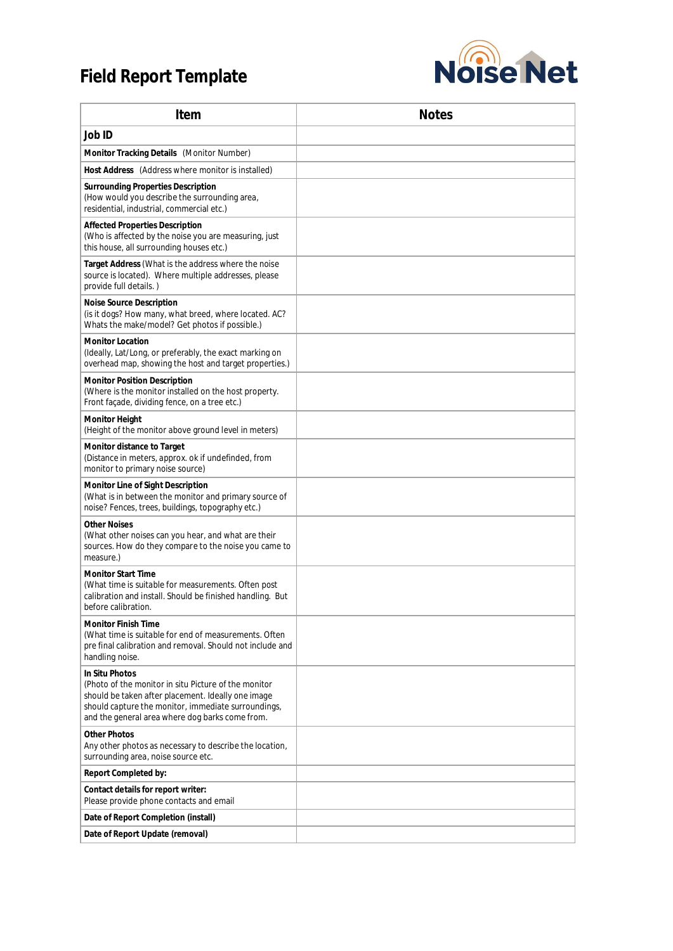## **Field Report Template**



| Item                                                                                                                                                                                                                                   | <b>Notes</b> |
|----------------------------------------------------------------------------------------------------------------------------------------------------------------------------------------------------------------------------------------|--------------|
| Job ID                                                                                                                                                                                                                                 |              |
| Monitor Tracking Details (Monitor Number)                                                                                                                                                                                              |              |
| Host Address (Address where monitor is installed)                                                                                                                                                                                      |              |
| <b>Surrounding Properties Description</b><br>(How would you describe the surrounding area,<br>residential, industrial, commercial etc.)                                                                                                |              |
| Affected Properties Description<br>(Who is affected by the noise you are measuring, just<br>this house, all surrounding houses etc.)                                                                                                   |              |
| Target Address (What is the address where the noise<br>source is located). Where multiple addresses, please<br>provide full details.)                                                                                                  |              |
| Noise Source Description<br>(is it dogs? How many, what breed, where located. AC?<br>Whats the make/model? Get photos if possible.)                                                                                                    |              |
| <b>Monitor Location</b><br>(Ideally, Lat/Long, or preferably, the exact marking on<br>overhead map, showing the host and target properties.)                                                                                           |              |
| <b>Monitor Position Description</b><br>(Where is the monitor installed on the host property.<br>Front façade, dividing fence, on a tree etc.)                                                                                          |              |
| <b>Monitor Height</b><br>(Height of the monitor above ground level in meters)                                                                                                                                                          |              |
| Monitor distance to Target<br>(Distance in meters, approx. ok if undefinded, from<br>monitor to primary noise source)                                                                                                                  |              |
| Monitor Line of Sight Description<br>(What is in between the monitor and primary source of<br>noise? Fences, trees, buildings, topography etc.)                                                                                        |              |
| <b>Other Noises</b><br>(What other noises can you hear, and what are their<br>sources. How do they compare to the noise you came to<br>measure.)                                                                                       |              |
| <b>Monitor Start Time</b><br>(What time is suitable for measurements. Often post<br>calibration and install. Should be finished handling. But<br>before calibration.                                                                   |              |
| <b>Monitor Finish Time</b><br>(What time is suitable for end of measurements. Often<br>pre final calibration and removal. Should not include and<br>handling noise.                                                                    |              |
| In Situ Photos<br>(Photo of the monitor in situ Picture of the monitor<br>should be taken after placement. Ideally one image<br>should capture the monitor, immediate surroundings,<br>and the general area where dog barks come from. |              |
| <b>Other Photos</b><br>Any other photos as necessary to describe the location,<br>surrounding area, noise source etc.                                                                                                                  |              |
| Report Completed by:                                                                                                                                                                                                                   |              |
| Contact details for report writer:<br>Please provide phone contacts and email                                                                                                                                                          |              |
| Date of Report Completion (install)                                                                                                                                                                                                    |              |
| Date of Report Update (removal)                                                                                                                                                                                                        |              |